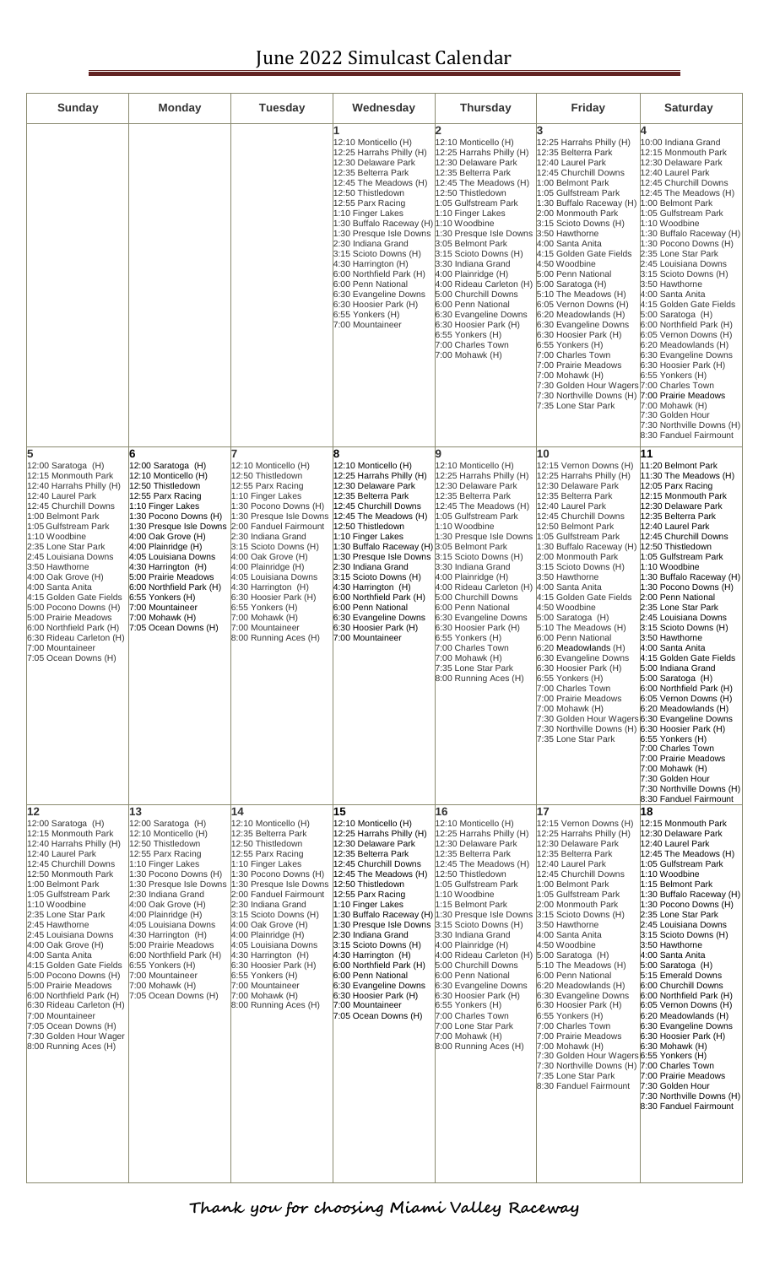## June 2022 Simulcast Calendar

| <b>Sunday</b>                                                                                                                                                                                                                                                                                                                                                                                                                                                                                                                                                      | <b>Monday</b>                                                                                                                                                                                                                                                                                                                                                                                                                                | <b>Tuesday</b>                                                                                                                                                                                                                                                                                                                                                                                                                                                               | Wednesday                                                                                                                                                                                                                                                                                                                                                                                                                                                                                                                     | <b>Thursday</b>                                                                                                                                                                                                                                                                                                                                                                                                                                                                                                                                        | Friday                                                                                                                                                                                                                                                                                                                                                                                                                                                                                                                                                                                                                                                                                                | <b>Saturday</b>                                                                                                                                                                                                                                                                                                                                                                                                                                                                                                                                                                                                                                                                                                                                          |
|--------------------------------------------------------------------------------------------------------------------------------------------------------------------------------------------------------------------------------------------------------------------------------------------------------------------------------------------------------------------------------------------------------------------------------------------------------------------------------------------------------------------------------------------------------------------|----------------------------------------------------------------------------------------------------------------------------------------------------------------------------------------------------------------------------------------------------------------------------------------------------------------------------------------------------------------------------------------------------------------------------------------------|------------------------------------------------------------------------------------------------------------------------------------------------------------------------------------------------------------------------------------------------------------------------------------------------------------------------------------------------------------------------------------------------------------------------------------------------------------------------------|-------------------------------------------------------------------------------------------------------------------------------------------------------------------------------------------------------------------------------------------------------------------------------------------------------------------------------------------------------------------------------------------------------------------------------------------------------------------------------------------------------------------------------|--------------------------------------------------------------------------------------------------------------------------------------------------------------------------------------------------------------------------------------------------------------------------------------------------------------------------------------------------------------------------------------------------------------------------------------------------------------------------------------------------------------------------------------------------------|-------------------------------------------------------------------------------------------------------------------------------------------------------------------------------------------------------------------------------------------------------------------------------------------------------------------------------------------------------------------------------------------------------------------------------------------------------------------------------------------------------------------------------------------------------------------------------------------------------------------------------------------------------------------------------------------------------|----------------------------------------------------------------------------------------------------------------------------------------------------------------------------------------------------------------------------------------------------------------------------------------------------------------------------------------------------------------------------------------------------------------------------------------------------------------------------------------------------------------------------------------------------------------------------------------------------------------------------------------------------------------------------------------------------------------------------------------------------------|
|                                                                                                                                                                                                                                                                                                                                                                                                                                                                                                                                                                    |                                                                                                                                                                                                                                                                                                                                                                                                                                              |                                                                                                                                                                                                                                                                                                                                                                                                                                                                              | 12:10 Monticello (H)<br>12:25 Harrahs Philly (H)<br>12:30 Delaware Park<br>12:35 Belterra Park<br>12:45 The Meadows (H)<br>12:50 Thistledown<br>12:55 Parx Racing<br>1:10 Finger Lakes<br>1:30 Buffalo Raceway (H) 1:10 Woodbine<br>1:30 Presque Isle Downs<br>2:30 Indiana Grand<br>3:15 Scioto Downs (H)<br>4:30 Harrington (H)<br>6:00 Northfield Park (H)<br>6:00 Penn National<br>6:30 Evangeline Downs<br>6:30 Hoosier Park (H)<br>6:55 Yonkers (H)<br>7:00 Mountaineer                                                 | 12:10 Monticello (H)<br>12:25 Harrahs Philly (H)<br>12:30 Delaware Park<br>12:35 Belterra Park<br>12:45 The Meadows (H)<br>12:50 Thistledown<br>1:05 Gulfstream Park<br>1:10 Finger Lakes<br>1:30 Presque Isle Downs 3:50 Hawthorne<br>3:05 Belmont Park<br>$ 3:15$ Scioto Downs $(H)$<br>3:30 Indiana Grand<br>4:00 Plainridge (H)<br>4:00 Rideau Carleton (H) 5:00 Saratoga (H)<br>5:00 Churchill Downs<br>6:00 Penn National<br>6:30 Evangeline Downs<br>$ 6:30$ Hoosier Park $(H)$<br>6:55 Yonkers (H)<br>7:00 Charles Town<br>7:00 Mohawk (H)     | 12:25 Harrahs Philly (H)<br>12:35 Belterra Park<br>12:40 Laurel Park<br>12:45 Churchill Downs<br>1:00 Belmont Park<br>1:05 Gulfstream Park<br>1:30 Buffalo Raceway (H) 1:00 Belmont Park<br>2:00 Monmouth Park<br>3:15 Scioto Downs (H)<br>4:00 Santa Anita<br>4:15 Golden Gate Fields<br>4:50 Woodbine<br>5:00 Penn National<br>5:10 The Meadows (H)<br>6:05 Vernon Downs (H)<br>$6:20$ Meadowlands $(H)$<br>6:30 Evangeline Downs<br>6:30 Hoosier Park (H)<br>6:55 Yonkers (H)<br>7:00 Charles Town<br>7:00 Prairie Meadows<br>7:00 Mohawk (H)<br>7:30 Golden Hour Wagers 7:00 Charles Town<br>7:30 Northville Downs (H) 7:00 Prairie Meadows<br>7:35 Lone Star Park                                | 10:00 Indiana Grand<br>12:15 Monmouth Park<br>12:30 Delaware Park<br>12:40 Laurel Park<br>12:45 Churchill Downs<br>12:45 The Meadows (H)<br>1:05 Gulfstream Park<br>1:10 Woodbine<br>1:30 Buffalo Raceway (H)<br>1:30 Pocono Downs (H)<br>2:35 Lone Star Park<br>2:45 Louisiana Downs<br>3:15 Scioto Downs (H)<br>3:50 Hawthorne<br>4:00 Santa Anita<br>4:15 Golden Gate Fields<br>5:00 Saratoga (H)<br>6:00 Northfield Park (H)<br>6:05 Vernon Downs (H)<br>6:20 Meadowlands (H)<br>6:30 Evangeline Downs<br>6:30 Hoosier Park (H)<br>6:55 Yonkers (H)<br>7:00 Mohawk (H)<br>7:30 Golden Hour<br>7:30 Northville Downs (H)<br>8:30 Fanduel Fairmount                                                                                                    |
| 5<br>$ 12:00$ Saratoga (H)<br>12:15 Monmouth Park<br>12:40 Harrahs Philly (H)<br>12:40 Laurel Park<br>12:45 Churchill Downs<br>1:00 Belmont Park<br>1:05 Gulfstream Park<br>1:10 Woodbine<br>2:35 Lone Star Park<br>2:45 Louisiana Downs<br>3:50 Hawthorne<br>4:00 Oak Grove (H)<br>4:00 Santa Anita<br>4:15 Golden Gate Fields<br>5:00 Pocono Downs (H)<br>5:00 Prairie Meadows<br>6:00 Northfield Park (H)<br>6:30 Rideau Carleton (H)<br>7:00 Mountaineer<br>7:05 Ocean Downs (H)                                                                               | 6<br>12:00 Saratoga (H)<br>12:10 Monticello (H)<br>12:50 Thistledown<br>12:55 Parx Racing<br>1:10 Finger Lakes<br>1:30 Pocono Downs (H)<br>1:30 Presque Isle Downs<br>$4:00$ Oak Grove (H)<br>$4:00$ Plainridge (H)<br>4:05 Louisiana Downs<br>$ 4:30$ Harrington $(H)$<br>5:00 Prairie Meadows<br>6:00 Northfield Park (H)<br>6:55 Yonkers (H)<br>7:00 Mountaineer<br>$7:00$ Mohawk (H)<br>$7:05$ Ocean Downs (H)                           | 12:10 Monticello (H)<br>12:50 Thistledown<br>12:55 Parx Racing<br>1:10 Finger Lakes<br>1:30 Pocono Downs (H)<br>1:30 Presque Isle Downs<br>2:00 Fanduel Fairmount<br>2:30 Indiana Grand<br>3:15 Scioto Downs (H)<br>4:00 Oak Grove (H)<br>$4:00$ Plainridge (H)<br>4:05 Louisiana Downs<br>$4:30$ Harrington $(H)$<br>6:30 Hoosier Park (H)<br>6:55 Yonkers (H)<br>7:00 Mohawk (H)<br>7:00 Mountaineer<br>8:00 Running Aces (H)                                              | R<br>12:10 Monticello (H)<br>12:25 Harrahs Philly (H)<br>12:30 Delaware Park<br>12:35 Belterra Park<br>12:45 Churchill Downs<br>12:45 The Meadows (H)<br>12:50 Thistledown<br>1:10 Finger Lakes<br>1:30 Buffalo Raceway (H) 3:05 Belmont Park<br>1:30 Presque Isle Downs 3:15 Scioto Downs (H)<br>2:30 Indiana Grand<br>3:15 Scioto Downs (H)<br>$4:30$ Harrington (H)<br>6:00 Northfield Park (H)<br>6:00 Penn National<br>6:30 Evangeline Downs<br>6:30 Hoosier Park (H)<br>7:00 Mountaineer                                | a<br>12:10 Monticello (H)<br>12:25 Harrahs Philly (H)<br>12:30 Delaware Park<br>12:35 Belterra Park<br>12:45 The Meadows (H)<br>1:05 Gulfstream Park<br>1:10 Woodbine<br>1:30 Presque Isle Downs 1:05 Gulfstream Park<br>3:30 Indiana Grand<br>$4:00$ Plainridge $(H)$<br>4:00 Rideau Carleton (H) 4:00 Santa Anita<br>5:00 Churchill Downs<br>6:00 Penn National<br>6:30 Evangeline Downs<br>6:30 Hoosier Park (H)<br>6:55 Yonkers (H)<br>7:00 Charles Town<br>$7:00$ Mohawk $(H)$<br>7:35 Lone Star Park<br>8:00 Running Aces (H)                    | 10<br>12:15 Vernon Downs (H)<br>12:25 Harrahs Philly (H)<br>12:30 Delaware Park<br>12:35 Belterra Park<br>12:40 Laurel Park<br>12:45 Churchill Downs<br>12:50 Belmont Park<br>1:30 Buffalo Raceway (H) 12:50 Thistledown<br>2:00 Monmouth Park<br>3:15 Scioto Downs (H)<br>3:50 Hawthorne<br>4:15 Golden Gate Fields<br>4:50 Woodbine<br>5:00 Saratoga (H)<br>5:10 The Meadows (H)<br>6:00 Penn National<br>6:20 Meadowlands (H)<br>6:30 Evangeline Downs<br>6:30 Hoosier Park (H)<br>$6:55$ Yonkers $(H)$<br>7:00 Charles Town<br>7:00 Prairie Meadows<br>7:00 Mohawk (H)<br>7:30 Golden Hour Wagers 6:30 Evangeline Downs<br>7:30 Northville Downs (H) 6:30 Hoosier Park (H)<br>7:35 Lone Star Park | 11<br>11:20 Belmont Park<br>$ 11:30$ The Meadows (H)<br>12:05 Parx Racing<br>12:15 Monmouth Park<br>12:30 Delaware Park<br>12:35 Belterra Park<br>12:40 Laurel Park<br>12:45 Churchill Downs<br>1:05 Gulfstream Park<br>1:10 Woodbine<br>1:30 Buffalo Raceway (H)<br>1:30 Pocono Downs (H)<br>2:00 Penn National<br>2:35 Lone Star Park<br>2:45 Louisiana Downs<br>3:15 Scioto Downs (H)<br>3:50 Hawthorne<br>4:00 Santa Anita<br>4:15 Golden Gate Fields<br>5:00 Indiana Grand<br>$5:00$ Saratoga $(H)$<br>6:00 Northfield Park (H)<br>6:05 Vernon Downs (H)<br>6:20 Meadowlands (H)<br>6:55 Yonkers (H)<br>7:00 Charles Town<br>7:00 Prairie Meadows<br>$7:00$ Mohawk $(H)$<br>7:30 Golden Hour<br>7:30 Northville Downs (H)<br>8:30 Fanduel Fairmount |
| 12<br>$12:00$ Saratoga $(H)$<br>12:15 Monmouth Park<br>12:40 Harrahs Philly (H)<br>12:40 Laurel Park<br>12:45 Churchill Downs<br>12:50 Monmouth Park<br>1:00 Belmont Park<br>1:05 Gulfstream Park<br>1:10 Woodbine<br>2:35 Lone Star Park<br>2:45 Hawthorne<br>2:45 Louisiana Downs<br>$4:00$ Oak Grove (H)<br>4:00 Santa Anita<br>4:15 Golden Gate Fields<br>5:00 Pocono Downs (H)<br>5:00 Prairie Meadows<br>6:00 Northfield Park (H)<br>6:30 Rideau Carleton (H)<br>7:00 Mountaineer<br>7:05 Ocean Downs (H)<br>7:30 Golden Hour Wager<br>8:00 Running Aces (H) | 13<br>12:00 Saratoga (H)<br>12:10 Monticello (H)<br>12:50 Thistledown<br>12:55 Parx Racing<br>1:10 Finger Lakes<br>1:30 Pocono Downs (H)<br>1:30 Presque Isle Downs<br>2:30 Indiana Grand<br>$4:00$ Oak Grove (H)<br>4:00 Plainridge (H)<br>4:05 Louisiana Downs<br>$ 4:30$ Harrington $(H)$<br>5:00 Prairie Meadows<br>6:00 Northfield Park (H)<br>$ 6:55$ Yonkers $(H)$<br>7:00 Mountaineer<br>$7:00$ Mohawk $(H)$<br>7:05 Ocean Downs (H) | 14<br>12:10 Monticello (H)<br>12:35 Belterra Park<br>12:50 Thistledown<br>12:55 Parx Racing<br>1:10 Finger Lakes<br>1:30 Pocono Downs (H)<br>1:30 Presque Isle Downs   12:50 Thistledown<br>2:00 Fanduel Fairmount<br>2:30 Indiana Grand<br>3:15 Scioto Downs (H)<br>$4:00$ Oak Grove (H)<br>4:00 Plainridge (H)<br>4:05 Louisiana Downs<br>4:30 Harrington (H)<br>6:30 Hoosier Park (H)<br>6:55 Yonkers (H)<br>7:00 Mountaineer<br>7:00 Mohawk (H)<br>8:00 Running Aces (H) | 15<br>12:10 Monticello (H)<br>12:25 Harrahs Philly (H)<br>12:30 Delaware Park<br>12:35 Belterra Park<br>12:45 Churchill Downs<br>12:45 The Meadows (H)<br>12:55 Parx Racing<br>1:10 Finger Lakes<br>1:30 Buffalo Raceway (H) 1:30 Presque Isle Downs 3:15 Scioto Downs (H)<br>1:30 Presque Isle Downs<br>2:30 Indiana Grand<br>3:15 Scioto Downs (H)<br>$4:30$ Harrington (H)<br>6:00 Northfield Park (H)<br>6:00 Penn National<br>6:30 Evangeline Downs<br>6:30 Hoosier Park (H)<br>7:00 Mountaineer<br>7:05 Ocean Downs (H) | 16<br>12:10 Monticello (H)<br>12:25 Harrahs Philly (H)<br>12:30 Delaware Park<br>12:35 Belterra Park<br>12:45 The Meadows (H)<br>12:50 Thistledown<br>1:05 Gulfstream Park<br>1:10 Woodbine<br>1:15 Belmont Park<br>3:15 Scioto Downs (H)<br>3:30 Indiana Grand<br>$4:00$ Plainridge (H)<br>4:00 Rideau Carleton (H) 5:00 Saratoga (H)<br>5:00 Churchill Downs<br>6:00 Penn National<br>6:30 Evangeline Downs<br>6:30 Hoosier Park (H)<br>$6:55$ Yonkers $(H)$<br>7:00 Charles Town<br>7:00 Lone Star Park<br>7:00 Mohawk (H)<br>8:00 Running Aces (H) | 17<br>12:15 Vernon Downs (H)<br>12:25 Harrahs Philly (H)<br>12:30 Delaware Park<br>12:35 Belterra Park<br>12:40 Laurel Park<br>12:45 Churchill Downs<br>1:00 Belmont Park<br>1:05 Gulfstream Park<br>2:00 Monmouth Park<br>3:50 Hawthorne<br>4:00 Santa Anita<br>4:50 Woodbine<br>5:10 The Meadows (H)<br>6:00 Penn National<br>$6:20$ Meadowlands $(H)$<br>6:30 Evangeline Downs<br>6:30 Hoosier Park (H)<br>6:55 Yonkers (H)<br>7:00 Charles Town<br>7:00 Prairie Meadows<br>7:00 Mohawk (H)<br>7:30 Golden Hour Wagers 6:55 Yonkers (H)<br>7:30 Northville Downs (H) 7:00 Charles Town<br>7:35 Lone Star Park<br>8:30 Fanduel Fairmount                                                            | 18<br>12:15 Monmouth Park<br>12:30 Delaware Park<br>12:40 Laurel Park<br>12:45 The Meadows (H)<br>1:05 Gulfstream Park<br>1:10 Woodbine<br>1:15 Belmont Park<br>1:30 Buffalo Raceway (H)<br>1:30 Pocono Downs (H)<br>2:35 Lone Star Park<br>2:45 Louisiana Downs<br>3:15 Scioto Downs (H)<br>3:50 Hawthorne<br>4:00 Santa Anita<br>$5:00$ Saratoga $(H)$<br>5:15 Emerald Downs<br>6:00 Churchill Downs<br>6:00 Northfield Park (H)<br>6:05 Vernon Downs (H)<br>6:20 Meadowlands (H)<br>6:30 Evangeline Downs<br>6:30 Hoosier Park (H)<br>$6:30$ Mohawk $(H)$<br>7:00 Prairie Meadows<br>7:30 Golden Hour<br>7:30 Northville Downs (H)<br>8:30 Fanduel Fairmount                                                                                          |